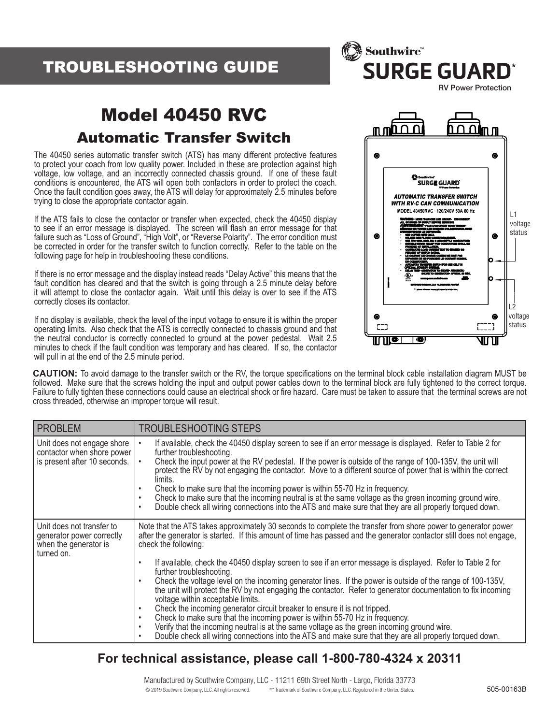# TROUBLESHOOTING GUIDE



# Model 40450 RVC Automatic Transfer Switch

The 40450 series automatic transfer switch (ATS) has many different protective features to protect your coach from low quality power. Included in these are protection against high voltage, low voltage, and an incorrectly connected chassis ground. If one of these fault conditions is encountered, the ATS will open both contactors in order to protect the coach. Once the fault condition goes away, the ATS will delay for approximately 2.5 minutes before trying to close the appropriate contactor again.

If the ATS fails to close the contactor or transfer when expected, check the 40450 display to see if an error message is displayed. The screen will flash an error message for that failure such as "Loss of Ground", "High Volt", or "Reverse Polarity". The error condition must be corrected in order for the transfer switch to function correctly. Refer to the table on the following page for help in troubleshooting these conditions.

If there is no error message and the display instead reads "Delay Active" this means that the fault condition has cleared and that the switch is going through a 2.5 minute delay before it will attempt to close the contactor again. Wait until this delay is over to see if the ATS correctly closes its contactor.

If no display is available, check the level of the input voltage to ensure it is within the proper operating limits. Also check that the ATS is correctly connected to chassis ground and that the neutral conductor is correctly connected to ground at the power pedestal. Wait 2.5 minutes to check if the fault condition was temporary and has cleared. If so, the contactor will pull in at the end of the 2.5 minute period.



**CAUTION:** To avoid damage to the transfer switch or the RV, the torque specifications on the terminal block cable installation diagram MUST be followed. Make sure that the screws holding the input and output power cables down to the terminal block are fully tightened to the correct torque. Failure to fully tighten these connections could cause an electrical shock or fire hazard. Care must be taken to assure that the terminal screws are not cross threaded, otherwise an improper torque will result.

| <b>PROBLEM</b>                                                                                | <b>TROUBLESHOOTING STEPS</b>                                                                                                                                                                                                                                                                                                                                                                                                                                                                                                                                                                                                                                                                                                                                                                                                                                                                                                                                                                                                                                                                                  |
|-----------------------------------------------------------------------------------------------|---------------------------------------------------------------------------------------------------------------------------------------------------------------------------------------------------------------------------------------------------------------------------------------------------------------------------------------------------------------------------------------------------------------------------------------------------------------------------------------------------------------------------------------------------------------------------------------------------------------------------------------------------------------------------------------------------------------------------------------------------------------------------------------------------------------------------------------------------------------------------------------------------------------------------------------------------------------------------------------------------------------------------------------------------------------------------------------------------------------|
| Unit does not engage shore<br>contactor when shore power<br>is present after 10 seconds.      | If available, check the 40450 display screen to see if an error message is displayed. Refer to Table 2 for<br>further troubleshooting.<br>Check the input power at the RV pedestal. If the power is outside of the range of 100-135V, the unit will<br>$\bullet$<br>protect the RV by not engaging the contactor. Move to a different source of power that is within the correct<br>limits.<br>Check to make sure that the incoming power is within 55-70 Hz in frequency.<br>Check to make sure that the incoming neutral is at the same voltage as the green incoming ground wire.<br>$\bullet$<br>Double check all wiring connections into the ATS and make sure that they are all properly torqued down.<br>٠                                                                                                                                                                                                                                                                                                                                                                                             |
| Unit does not transfer to<br>generator power correctly<br>when the generator is<br>turned on. | Note that the ATS takes approximately 30 seconds to complete the transfer from shore power to generator power<br>after the generator is started. If this amount of time has passed and the generator contactor still does not engage,<br>check the following:<br>If available, check the 40450 display screen to see if an error message is displayed. Refer to Table 2 for<br>٠<br>further troubleshooting.<br>Check the voltage level on the incoming generator lines. If the power is outside of the range of 100-135V,<br>٠<br>the unit will protect the RV by not engaging the contactor. Refer to generator documentation to fix incoming<br>voltage within acceptable limits.<br>Check the incoming generator circuit breaker to ensure it is not tripped.<br>$\bullet$<br>Check to make sure that the incoming power is within 55-70 Hz in frequency.<br>$\bullet$<br>Verify that the incoming neutral is at the same voltage as the green incoming ground wire.<br>$\bullet$<br>Double check all wiring connections into the ATS and make sure that they are all properly torqued down.<br>$\bullet$ |

### **For technical assistance, please call 1-800-780-4324 x 20311**